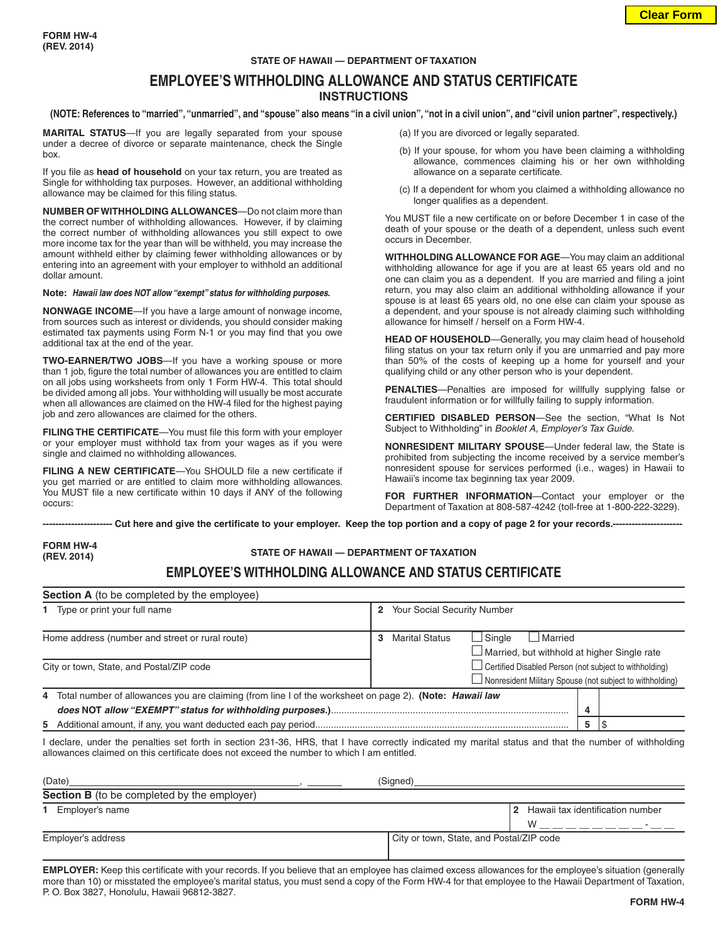### **STATE OF HAWAII — DEPARTMENT OF TAXATION**

### **EMPLOYEE'S WITHHOLDING ALLOWANCE AND STATUS CERTIFICATE INSTRUCTIONS**

### **(NOTE: References to "married", "unmarried", and "spouse" also means "in a civil union", "not in a civil union", and "civil union partner", respectively.)**

**MARITAL STATUS**—If you are legally separated from your spouse under a decree of divorce or separate maintenance, check the Single box.

If you file as **head of household** on your tax return, you are treated as Single for withholding tax purposes. However, an additional withholding allowance may be claimed for this filing status.

**NUMBER OF WITHHOLDING ALLOWANCES**—Do not claim more than the correct number of withholding allowances. However, if by claiming the correct number of withholding allowances you still expect to owe more income tax for the year than will be withheld, you may increase the amount withheld either by claiming fewer withholding allowances or by entering into an agreement with your employer to withhold an additional dollar amount.

#### **Note:** *Hawaii law does NOT allow "exempt" status for withholding purposes.*

**NONWAGE INCOME**—If you have a large amount of nonwage income, from sources such as interest or dividends, you should consider making estimated tax payments using Form N-1 or you may find that you owe additional tax at the end of the year.

**TWO-EARNER/TWO JOBS**—If you have a working spouse or more than 1 job, figure the total number of allowances you are entitled to claim on all jobs using worksheets from only 1 Form HW-4. This total should be divided among all jobs. Your withholding will usually be most accurate when all allowances are claimed on the HW-4 filed for the highest paying job and zero allowances are claimed for the others.

**FILING THE CERTIFICATE**—You must file this form with your employer or your employer must withhold tax from your wages as if you were single and claimed no withholding allowances.

**FILING A NEW CERTIFICATE**—You SHOULD file a new certificate if you get married or are entitled to claim more withholding allowances. You MUST file a new certificate within 10 days if ANY of the following occurs:

- (a) If you are divorced or legally separated.
- (b) If your spouse, for whom you have been claiming a withholding allowance, commences claiming his or her own withholding allowance on a separate certificate.
- (c) If a dependent for whom you claimed a withholding allowance no longer qualifies as a dependent.

You MUST file a new certificate on or before December 1 in case of the death of your spouse or the death of a dependent, unless such event occurs in December.

**WITHHOLDING ALLOWANCE FOR AGE**—You may claim an additional withholding allowance for age if you are at least 65 years old and no one can claim you as a dependent. If you are married and filing a joint return, you may also claim an additional withholding allowance if your spouse is at least 65 years old, no one else can claim your spouse as a dependent, and your spouse is not already claiming such withholding allowance for himself / herself on a Form HW-4.

**HEAD OF HOUSEHOLD**—Generally, you may claim head of household filing status on your tax return only if you are unmarried and pay more than 50% of the costs of keeping up a home for yourself and your qualifying child or any other person who is your dependent.

**PENALTIES**—Penalties are imposed for willfully supplying false or fraudulent information or for willfully failing to supply information.

**CERTIFIED DISABLED PERSON**—See the section, "What Is Not Subject to Withholding" in *Booklet A, Employer's Tax Guide*.

**NONRESIDENT MILITARY SPOUSE**—Under federal law, the State is prohibited from subjecting the income received by a service member's nonresident spouse for services performed (i.e., wages) in Hawaii to Hawaii's income tax beginning tax year 2009.

**FOR FURTHER INFORMATION**—Contact your employer or the Department of Taxation at 808-587-4242 (toll-free at 1-800-222-3229).

**---------------------- Cut here and give the certificate to your employer. Keep the top portion and a copy of page 2 for your records.----------------------**

**FORM HW-4 (REV. 2014)**

**STATE OF HAWAII — DEPARTMENT OF TAXATION**

# **EMPLOYEE'S WITHHOLDING ALLOWANCE AND STATUS CERTIFICATE**

| <b>Section A</b> (to be completed by the employee)                                                                                                                                                                                                 |                                                               |  |  |  |
|----------------------------------------------------------------------------------------------------------------------------------------------------------------------------------------------------------------------------------------------------|---------------------------------------------------------------|--|--|--|
| 1 Type or print your full name                                                                                                                                                                                                                     | Your Social Security Number<br>2                              |  |  |  |
| Home address (number and street or rural route)                                                                                                                                                                                                    | $\Box$ Single<br>$\Box$ Married<br><b>Marital Status</b><br>3 |  |  |  |
|                                                                                                                                                                                                                                                    | $\Box$ Married, but withhold at higher Single rate            |  |  |  |
| City or town, State, and Postal/ZIP code                                                                                                                                                                                                           | $\Box$ Certified Disabled Person (not subject to withholding) |  |  |  |
|                                                                                                                                                                                                                                                    | □ Nonresident Military Spouse (not subject to withholding)    |  |  |  |
| 4 Total number of allowances you are claiming (from line I of the worksheet on page 2). (Note: <i>Hawaii law</i>                                                                                                                                   |                                                               |  |  |  |
|                                                                                                                                                                                                                                                    | 4                                                             |  |  |  |
|                                                                                                                                                                                                                                                    | 5                                                             |  |  |  |
| I declare, under the penalties set forth in section 231-36, HRS, that I have correctly indicated my marital status and that the number of withholding<br>allowances claimed on this certificate does not exceed the number to which I am entitled. |                                                               |  |  |  |

| (Date)                                             | (Signed)                                           |  |  |
|----------------------------------------------------|----------------------------------------------------|--|--|
| <b>Section B</b> (to be completed by the employer) |                                                    |  |  |
| Employer's name                                    | Hawaii tax identification number<br>$\overline{2}$ |  |  |
|                                                    | w                                                  |  |  |
| Employer's address                                 | City or town, State, and Postal/ZIP code           |  |  |
|                                                    |                                                    |  |  |

**EMPLOYER:** Keep this certificate with your records. If you believe that an employee has claimed excess allowances for the employee's situation (generally more than 10) or misstated the employee's marital status, you must send a copy of the Form HW-4 for that employee to the Hawaii Department of Taxation, P. O. Box 3827, Honolulu, Hawaii 96812-3827.